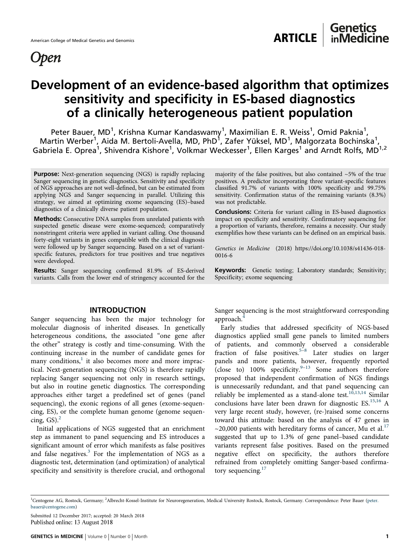

## Genetics<br>inMedicine American College of Medical Genetics and Genomics ARTICLE

# Development of an evidence-based algorithm that optimizes sensitivity and specificity in ES-based diagnostics of a clinically heterogeneous patient population

Peter Bauer, MD<sup>1</sup>, Krishna Kumar Kandaswamy<sup>1</sup>, Maximilian E. R. Weiss<sup>1</sup>, Omid Paknia<sup>1</sup>, Martin Werber<sup>1</sup>, Aida M. Bertoli-Avella, MD, PhD<sup>1</sup>, Zafer Yüksel, MD<sup>1</sup>, Malgorzata Bochinska<sup>1</sup>, Gabriela E. Oprea<sup>1</sup>, Shivendra Kishore<sup>1</sup>, Volkmar Weckesser<sup>1</sup>, Ellen Karges<sup>1</sup> and Arndt Rolfs, MD<sup>1,2</sup>

**Purpose:** Next-generation sequencing (NGS) is rapidly replacing Sanger sequencing in genetic diagnostics. Sensitivity and specificity of NGS approaches are not well-defined, but can be estimated from applying NGS and Sanger sequencing in parallel. Utilizing this strategy, we aimed at optimizing exome sequencing (ES)–based diagnostics of a clinically diverse patient population.

Methods: Consecutive DNA samples from unrelated patients with suspected genetic disease were exome-sequenced; comparatively nonstringent criteria were applied in variant calling. One thousand forty-eight variants in genes compatible with the clinical diagnosis were followed up by Sanger sequencing. Based on a set of variantspecific features, predictors for true positives and true negatives were developed.

Results: Sanger sequencing confirmed 81.9% of ES-derived variants. Calls from the lower end of stringency accounted for the

### INTRODUCTION

Sanger sequencing has been the major technology for molecular diagnosis of inherited diseases. In genetically heterogeneous conditions, the associated "one gene after the other" strategy is costly and time-consuming. With the continuing increase in the number of candidate genes for many conditions,<sup>[1](#page-7-0)</sup> it also becomes more and more impractical. Next-generation sequencing (NGS) is therefore rapidly replacing Sanger sequencing not only in research settings, but also in routine genetic diagnostics. The corresponding approaches either target a predefined set of genes (panel sequencing), the exonic regions of all genes (exome-sequencing, ES), or the complete human genome (genome sequencing,  $GS$ ).<sup>[2](#page-7-0)</sup>

Initial applications of NGS suggested that an enrichment step as immanent to panel sequencing and ES introduces a significant amount of error which manifests as false positives and false negatives.<sup>[3](#page-7-0)</sup> For the implementation of NGS as a diagnostic test, determination (and optimization) of analytical specificity and sensitivity is therefore crucial, and orthogonal majority of the false positives, but also contained  $\sim$  5% of the true positives. A predictor incorporating three variant-specific features classified 91.7% of variants with 100% specificity and 99.75% sensitivity. Confirmation status of the remaining variants (8.3%) was not predictable.

Conclusions: Criteria for variant calling in ES-based diagnostics impact on specificity and sensitivity. Confirmatory sequencing for a proportion of variants, therefore, remains a necessity. Our study exemplifies how these variants can be defined on an empirical basis.

Genetics in Medicine (2018) https://doi.org/10.1038/s41436-018- 0016-6

Keywords: Genetic testing; Laboratory standards; Sensitivity; Specificity; exome sequencing

Sanger sequencing is the most straightforward corresponding approach.

Early studies that addressed specificity of NGS-based diagnostics applied small gene panels to limited numbers of patients, and commonly observed a considerable fraction of false positives.<sup>[5](#page-7-0)-[8](#page-7-0)</sup> Later studies on larger panels and more patients, however, frequently reported  $\frac{1}{2}$  (close to) 100% specificity.<sup>[9](#page-7-0)–[13](#page-7-0)</sup> Some authors therefore proposed that independent confirmation of NGS findings is unnecessarily redundant, and that panel sequencing can reliably be implemented as a stand-alone test.<sup>[10,13,14](#page-7-0)</sup> Similar conclusions have later been drawn for diagnostic ES.<sup>[15,16](#page-7-0)</sup> A very large recent study, however, (re-)raised some concerns toward this attitude: based on the analysis of 47 genes in  $\sim$ 20,000 patients with hereditary forms of cancer, Mu et al.<sup>[17](#page-7-0)</sup> suggested that up to 1.3% of gene panel–based candidate variants represent false positives. Based on the presumed negative effect on specificity, the authors therefore refrained from completely omitting Sanger-based confirma-tory sequencing.<sup>[17](#page-7-0)</sup>

Submitted 12 December 2017; accepted: 20 March 2018

<sup>&</sup>lt;sup>1</sup>Centogene AG, Rostock, Germany; <sup>2</sup>Albrecht-Kossel-Institute for Neuroregeneration, Medical University Rostock, Rostock, Germany. Correspondence: Peter Bauer [\(peter.](mailto:peter.bauer@centogene.com) [bauer@centogene.com\)](mailto:peter.bauer@centogene.com)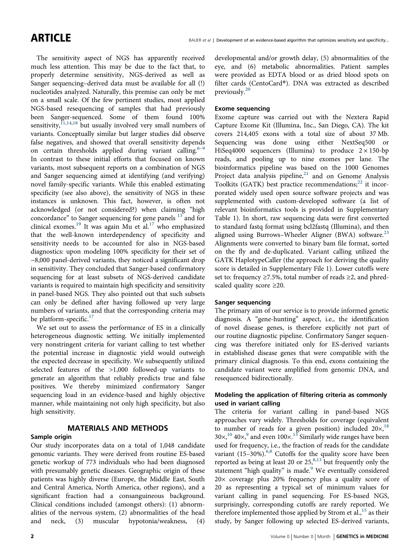The sensitivity aspect of NGS has apparently received much less attention. This may be due to the fact that, to properly determine sensitivity, NGS-derived as well as Sanger sequencing–derived data must be available for all (!) nucleotides analyzed. Naturally, this premise can only be met on a small scale. Of the few pertinent studies, most applied NGS-based resequencing of samples that had previously been Sanger-sequenced. Some of them found 100% sensitivity, $1,14,18$  $1,14,18$  but usually involved very small numbers of variants. Conceptually similar but larger studies did observe false negatives, and showed that overall sensitivity depends on certain thresholds applied during variant calling. $6-9$  $6-9$  $6-9$ In contrast to these initial efforts that focused on known variants, most subsequent reports on a combination of NGS and Sanger sequencing aimed at identifying (and verifying) novel family-specific variants. While this enabled estimating specificity (see also above), the sensitivity of NGS in these instances is unknown. This fact, however, is often not acknowledged (or not considered?) when claiming "high concordance" to Sanger sequencing for gene panels <sup>[13](#page-7-0)</sup> and for clinical exomes.[19](#page-8-0) It was again Mu et al.[17](#page-7-0) who emphasized that the well-known interdependency of specificity and sensitivity needs to be accounted for also in NGS-based diagnostics: upon modeling 100% specificity for their set of ~8,000 panel-derived variants, they noticed a significant drop in sensitivity. They concluded that Sanger-based confirmatory sequencing for at least subsets of NGS-derived candidate variants is required to maintain high specificity and sensitivity in panel-based NGS. They also pointed out that such subsets can only be defined after having followed up very large numbers of variants, and that the corresponding criteria may be platform-specific.<sup>[17](#page-7-0)</sup>

We set out to assess the performance of ES in a clinically heterogeneous diagnostic setting. We initially implemented very nonstringent criteria for variant calling to test whether the potential increase in diagnostic yield would outweigh the expected decrease in specificity. We subsequently utilized selected features of the >1,000 followed-up variants to generate an algorithm that reliably predicts true and false positives. We thereby minimized confirmatory Sanger sequencing load in an evidence-based and highly objective manner, while maintaining not only high specificity, but also high sensitivity.

### MATERIALS AND METHODS

#### Sample origin

Our study incorporates data on a total of 1,048 candidate genomic variants. They were derived from routine ES-based genetic workup of 773 individuals who had been diagnosed with presumably genetic diseases. Geographic origin of these patients was highly diverse (Europe, the Middle East, South and Central America, North America, other regions), and a significant fraction had a consanguineous background. Clinical conditions included (amongst others): (1) abnormalities of the nervous system, (2) abnormalities of the head and neck, (3) muscular hypotonia/weakness, (4)

developmental and/or growth delay, (5) abnormalities of the eye, and (6) metabolic abnormalities. Patient samples were provided as EDTA blood or as dried blood spots on filter cards (CentoCard®). DNA was extracted as described previously.[20](#page-8-0)

#### Exome sequencing

Exome capture was carried out with the Nextera Rapid Capture Exome Kit (Illumina, Inc., San Diego, CA). The kit covers 214,405 exons with a total size of about 37 Mb. Sequencing was done using either NextSeq500 or HiSeq4000 sequencers (Illumina) to produce  $2 \times 150$ -bp reads, and pooling up to nine exomes per lane. The bioinformatics pipeline was based on the 1000 Genomes Project data analysis pipeline, $21$  and on Genome Analysis Toolkits (GATK) best practice recommendations; $^{22}$  $^{22}$  $^{22}$  it incorporated widely used open source software projects and was supplemented with custom-developed software (a list of relevant bioinformatics tools is provided in Supplementary Table 1). In short, raw sequencing data were first converted to standard fastq format using bcl2fastq (Illumina), and then aligned using Burrows–Wheeler Aligner (BWA) software.<sup>[23](#page-8-0)</sup> Alignments were converted to binary bam file format, sorted on the fly and de-duplicated. Variant calling utilized the GATK HaplotypeCaller (the approach for deriving the quality score is detailed in Supplementary File 1). Lower cutoffs were set to: frequency  $\geq$  7.5%, total number of reads  $\geq$ 2, and phredscaled quality score  $\geq 20$ .

### Sanger sequencing

The primary aim of our service is to provide informed genetic diagnosis. A "gene-hunting" aspect, i.e., the identification of novel disease genes, is therefore explicitly not part of our routine diagnostic pipeline. Confirmatory Sanger sequencing was therefore initiated only for ES-derived variants in established disease genes that were compatible with the primary clinical diagnosis. To this end, exons containing the candidate variant were amplified from genomic DNA, and resequenced bidirectionally.

#### Modeling the application of filtering criteria as commonly used in variant calling

The criteria for variant calling in panel-based NGS approaches vary widely. Thresholds for coverage (equivalent to number of reads for a given position) included  $20\times$ , <sup>[18](#page-8-0)</sup>  $30\times$ ,<sup>[10](#page-7-0)</sup> 40 $\times$ ,<sup>[9](#page-7-0)</sup> and even 100 $\times$ .<sup>[13](#page-7-0)</sup> Similarly wide ranges have been used for frequency, i.e., the fraction of reads for the candidate variant  $(15-30\%)$ .<sup>6,8</sup> Cutoffs for the quality score have been reported as being at least 20 or  $25$ ,  $8,13$  $8,13$  $8,13$  but frequently only the statement "high quality" is made.<sup>[9](#page-7-0)</sup> We eventually considered 20× coverage plus 20% frequency plus a quality score of 20 as representing a typical set of minimum values for variant calling in panel sequencing. For ES-based NGS, surprisingly, corresponding cutoffs are rarely reported. We therefore implemented those applied by Strom et al.,<sup>[15](#page-7-0)</sup> as their study, by Sanger following up selected ES-derived variants,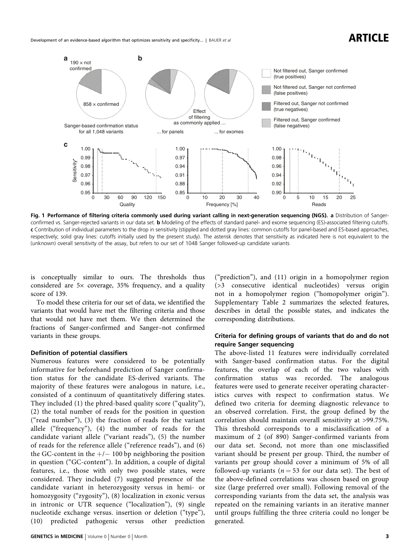<span id="page-2-0"></span>

Fig. 1 Performance of filtering criteria commonly used during variant calling in next-generation sequencing (NGS). a Distribution of Sangerconfirmed vs. Sanger-rejected variants in our data set. **b** Modeling of the effects of standard panel- and exome sequencing (ES)-associated filtering cutoffs. c Contribution of individual parameters to the drop in sensitivity (stippled and dotted gray lines: common cutoffs for panel-based and ES-based approaches, respectively; solid gray lines: cutoffs initially used by the present study). The asterisk denotes that sensitivity as indicated here is not equivalent to the (unknown) overall sensitivity of the assay, but refers to our set of 1048 Sanger followed-up candidate variants

is conceptually similar to ours. The thresholds thus considered are 5× coverage, 35% frequency, and a quality score of 139.

To model these criteria for our set of data, we identified the variants that would have met the filtering criteria and those that would not have met them. We then determined the fractions of Sanger-confirmed and Sanger–not confirmed variants in these groups.

#### Definition of potential classifiers

Numerous features were considered to be potentially informative for beforehand prediction of Sanger confirmation status for the candidate ES-derived variants. The majority of these features were analogous in nature, i.e., consisted of a continuum of quantitatively differing states. They included (1) the phred-based quality score ("quality"), (2) the total number of reads for the position in question ("read number"), (3) the fraction of reads for the variant allele ("frequency"), (4) the number of reads for the candidate variant allele ("variant reads"), (5) the number of reads for the reference allele ("reference reads"), and (6) the GC-content in the  $+/- 100$  bp neighboring the position in question ("GC-content"). In addition, a couple of digital features, i.e., those with only two possible states, were considered. They included (7) suggested presence of the candidate variant in heterozygosity versus in hemi- or homozygosity ("zygosity"), (8) localization in exonic versus in intronic or UTR sequence ("localization"), (9) single nucleotide exchange versus. insertion or deletion ("type"), (10) predicted pathogenic versus other prediction

("prediction"), and (11) origin in a homopolymer region (>3 consecutive identical nucleotides) versus origin not in a homopolymer region ("homopolymer origin"). Supplementary Table 2 summarizes the selected features, describes in detail the possible states, and indicates the corresponding distributions.

#### Criteria for defining groups of variants that do and do not require Sanger sequencing

The above-listed 11 features were individually correlated with Sanger-based confirmation status. For the digital features, the overlap of each of the two values with confirmation status was recorded. The analogous features were used to generate receiver operating characteristics curves with respect to confirmation status. We defined two criteria for deeming diagnostic relevance to an observed correlation. First, the group defined by the correlation should maintain overall sensitivity at >99.75%. This threshold corresponds to a misclassification of a maximum of 2 (of 890) Sanger-confirmed variants from our data set. Second, not more than one misclassified variant should be present per group. Third, the number of variants per group should cover a minimum of 5% of all followed-up variants ( $n = 53$  for our data set). The best of the above-defined correlations was chosen based on group size (large preferred over small). Following removal of the corresponding variants from the data set, the analysis was repeated on the remaining variants in an iterative manner until groups fulfilling the three criteria could no longer be generated.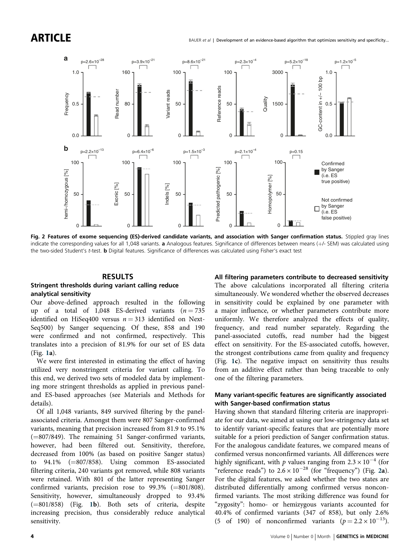<span id="page-3-0"></span>

Fig. 2 Features of exome sequencing (ES)-derived candidate variants, and association with Sanger confirmation status. Stippled gray lines indicate the corresponding values for all 1,048 variants. a Analogous features. Significance of differences between means (+/- SEM) was calculated using the two-sided Student's t-test. **b** Digital features. Significance of differences was calculated using Fisher's exact test

#### RESULTS

#### Stringent thresholds during variant calling reduce analytical sensitivity

Our above-defined approach resulted in the following up of a total of 1,048 ES-derived variants  $(n = 735)$ identified on HiSeq400 versus  $n = 313$  identified on Next-Seq500) by Sanger sequencing. Of these, 858 and 190 were confirmed and not confirmed, respectively. This translates into a precision of 81.9% for our set of ES data (Fig. [1a](#page-2-0)).

We were first interested in estimating the effect of having utilized very nonstringent criteria for variant calling. To this end, we derived two sets of modeled data by implementing more stringent thresholds as applied in previous paneland ES-based approaches (see Materials and Methods for details).

Of all 1,048 variants, 849 survived filtering by the panelassociated criteria. Amongst them were 807 Sanger-confirmed variants, meaning that precision increased from 81.9 to 95.1% (=807/849). The remaining 51 Sanger-confirmed variants, however, had been filtered out. Sensitivity, therefore, decreased from 100% (as based on positive Sanger status) to 94.1% (=807/858). Using common ES-associated filtering criteria, 240 variants got removed, while 808 variants were retained. With 801 of the latter representing Sanger confirmed variants, precision rose to 99.3% (=801/808). Sensitivity, however, simultaneously dropped to 93.4% (=801/858) (Fig. [1](#page-2-0)b). Both sets of criteria, despite increasing precision, thus considerably reduce analytical sensitivity.

All filtering parameters contribute to decreased sensitivity The above calculations incorporated all filtering criteria simultaneously. We wondered whether the observed decreases in sensitivity could be explained by one parameter with a major influence, or whether parameters contribute more uniformly. We therefore analyzed the effects of quality, frequency, and read number separately. Regarding the panel-associated cutoffs, read number had the biggest effect on sensitivity. For the ES-associated cutoffs, however, the strongest contributions came from quality and frequency (Fig. [1](#page-2-0)c). The negative impact on sensitivity thus results from an additive effect rather than being traceable to only one of the filtering parameters.

#### Many variant-specific features are significantly associated with Sanger-based confirmation status

Having shown that standard filtering criteria are inappropriate for our data, we aimed at using our low-stringency data set to identify variant-specific features that are potentially more suitable for a priori prediction of Sanger confirmation status. For the analogous candidate features, we compared means of confirmed versus nonconfirmed variants. All differences were highly significant, with p values ranging from  $2.3 \times 10^{-4}$  (for "reference reads") to  $2.6 \times 10^{-28}$  (for "frequency") (Fig. 2a). For the digital features, we asked whether the two states are distributed differentially among confirmed versus nonconfirmed variants. The most striking difference was found for "zygosity": homo- or hemizygous variants accounted for 40.4% of confirmed variants (347 of 858), but only 2.6% (5 of 190) of nonconfirmed variants  $(p = 2.2 \times 10^{-13})$ .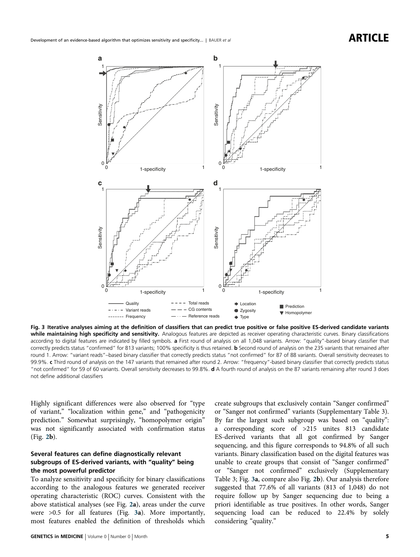<span id="page-4-0"></span>

Fig. 3 Iterative analyses aiming at the definition of classifiers that can predict true positive or false positive ES-derived candidate variants while maintaining high specificity and sensitivity. Analogous features are depicted as receiver operating characteristic curves. Binary classifications according to digital features are indicated by filled symbols. a First round of analysis on all 1,048 variants. Arrow: "quality"-based binary classifier that correctly predicts status "confirmed" for 813 variants; 100% specificity is thus retained. b Second round of analysis on the 235 variants that remained after round 1. Arrow: "variant reads"–based binary classifier that correctly predicts status "not confirmed" for 87 of 88 variants. Overall sensitivity decreases to 99.9%. c Third round of analysis on the 147 variants that remained after round 2. Arrow: "frequency"-based binary classifier that correctly predicts status "not confirmed" for 59 of 60 variants. Overall sensitivity decreases to 99.8%. d A fourth round of analysis on the 87 variants remaining after round 3 does not define additional classifiers

Highly significant differences were also observed for "type of variant," "localization within gene," and "pathogenicity prediction." Somewhat surprisingly, "homopolymer origin" was not significantly associated with confirmation status (Fig. [2b](#page-3-0)).

### Several features can define diagnostically relevant subgroups of ES-derived variants, with "quality" being the most powerful predictor

To analyze sensitivity and specificity for binary classifications according to the analogous features we generated receiver operating characteristic (ROC) curves. Consistent with the above statistical analyses (see Fig. [2a](#page-3-0)), areas under the curve were >0.5 for all features (Fig. 3a). More importantly, most features enabled the definition of thresholds which create subgroups that exclusively contain "Sanger confirmed" or "Sanger not confirmed" variants (Supplementary Table 3). By far the largest such subgroup was based on "quality": a corresponding score of >215 unites 813 candidate ES-derived variants that all got confirmed by Sanger sequencing, and this figure corresponds to 94.8% of all such variants. Binary classification based on the digital features was unable to create groups that consist of "Sanger confirmed" or "Sanger not confirmed" exclusively (Supplementary Table 3; Fig. 3a, compare also Fig. [2](#page-3-0)b). Our analysis therefore suggested that 77.6% of all variants (813 of 1,048) do not require follow up by Sanger sequencing due to being a priori identifiable as true positives. In other words, Sanger sequencing load can be reduced to 22.4% by solely considering "quality."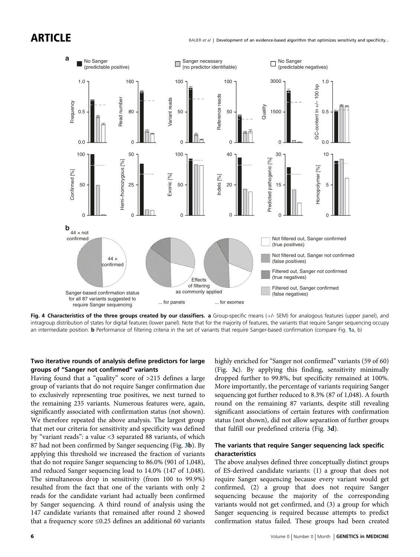<span id="page-5-0"></span>ARTICLE



Fig. 4 Characteristics of the three groups created by our classifiers. a Group-specific means (+/- SEM) for analogous features (upper panel), and intragroup distribution of states for digital features (lower panel). Note that for the majority of features, the variants that require Sanger sequencing occupy an intermediate position. **b** Performance of filtering criteria in the set of variants that require Sanger-based confirmation (compare Fig. [1](#page-2-0)a, b)

### Two iterative rounds of analysis define predictors for large groups of "Sanger not confirmed" variants

Having found that a "quality" score of >215 defines a large group of variants that do not require Sanger confirmation due to exclusively representing true positives, we next turned to the remaining 235 variants. Numerous features were, again, significantly associated with confirmation status (not shown). We therefore repeated the above analysis. The largest group that met our criteria for sensitivity and specificity was defined by "variant reads": a value <3 separated 88 variants, of which 87 had not been confirmed by Sanger sequencing (Fig. [3b](#page-4-0)). By applying this threshold we increased the fraction of variants that do not require Sanger sequencing to 86.0% (901 of 1,048), and reduced Sanger sequencing load to 14.0% (147 of 1,048). The simultaneous drop in sensitivity (from 100 to 99.9%) resulted from the fact that one of the variants with only 2 reads for the candidate variant had actually been confirmed by Sanger sequencing. A third round of analysis using the 147 candidate variants that remained after round 2 showed that a frequency score  $\leq 0.25$  defines an additional 60 variants

highly enriched for "Sanger not confirmed" variants (59 of 60) (Fig. [3c](#page-4-0)). By applying this finding, sensitivity minimally dropped further to 99.8%, but specificity remained at 100%. More importantly, the percentage of variants requiring Sanger sequencing got further reduced to 8.3% (87 of 1,048). A fourth round on the remaining 87 variants, despite still revealing significant associations of certain features with confirmation status (not shown), did not allow separation of further groups that fulfill our predefined criteria (Fig. [3d](#page-4-0)).

### The variants that require Sanger sequencing lack specific characteristics

The above analyses defined three conceptually distinct groups of ES-derived candidate variants: (1) a group that does not require Sanger sequencing because every variant would get confirmed, (2) a group that does not require Sanger sequencing because the majority of the corresponding variants would not get confirmed, and (3) a group for which Sanger sequencing is required because attempts to predict confirmation status failed. These groups had been created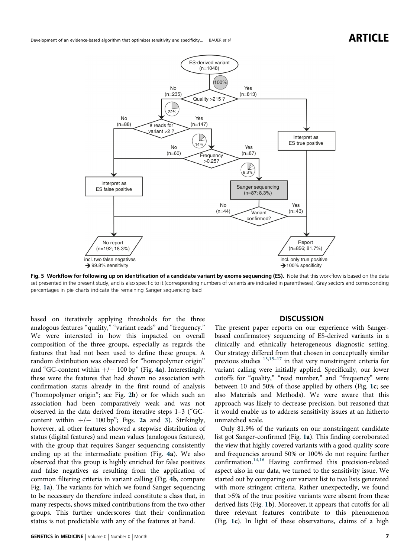<span id="page-6-0"></span>Development of an evidence-based algorithm that optimizes sensitivity and specificity... | BAUER et al  $\blacksquare$   $\blacksquare$ 



Fig. 5 Workflow for following up on identification of a candidate variant by exome sequencing (ES). Note that this workflow is based on the data set presented in the present study, and is also specific to it (corresponding numbers of variants are indicated in parentheses). Gray sectors and corresponding percentages in pie charts indicate the remaining Sanger sequencing load

based on iteratively applying thresholds for the three analogous features "quality," "variant reads" and "frequency." We were interested in how this impacted on overall composition of the three groups, especially as regards the features that had not been used to define these groups. A random distribution was observed for "homopolymer origin" and "GC-content within  $+/- 100$  bp" (Fig. [4](#page-5-0)a). Interestingly, these were the features that had shown no association with confirmation status already in the first round of analysis ("homopolymer origin"; see Fig. [2](#page-3-0)b) or for which such an association had been comparatively weak and was not observed in the data derived from iterative steps 1–3 ("GCcontent within  $+/-$  100 bp"; Figs. [2a](#page-3-0) and [3](#page-4-0)). Strikingly, however, all other features showed a stepwise distribution of status (digital features) and mean values (analogous features), with the group that requires Sanger sequencing consistently ending up at the intermediate position (Fig. [4](#page-5-0)a). We also observed that this group is highly enriched for false positives and false negatives as resulting from the application of common filtering criteria in variant calling (Fig. [4](#page-5-0)b, compare Fig. [1](#page-2-0)a). The variants for which we found Sanger sequencing to be necessary do therefore indeed constitute a class that, in many respects, shows mixed contributions from the two other groups. This further underscores that their confirmation status is not predictable with any of the features at hand.

#### **DISCUSSION**

The present paper reports on our experience with Sangerbased confirmatory sequencing of ES-derived variants in a clinically and ethnically heterogeneous diagnostic setting. Our strategy differed from that chosen in conceptually similar previous studies <sup>[13,15](#page-7-0)-[17](#page-7-0)</sup> in that very nonstringent criteria for variant calling were initially applied. Specifically, our lower cutoffs for "quality," "read number," and "frequency" were between 10 and 50% of those applied by others (Fig. [1c](#page-2-0); see also Materials and Methods). We were aware that this approach was likely to decrease precision, but reasoned that it would enable us to address sensitivity issues at an hitherto unmatched scale.

Only 81.9% of the variants on our nonstringent candidate list got Sanger-confirmed (Fig. [1a](#page-2-0)). This finding corroborated the view that highly covered variants with a good quality score and frequencies around 50% or 100% do not require further confirmation.[14](#page-7-0),[16](#page-7-0) Having confirmed this precision-related aspect also in our data, we turned to the sensitivity issue. We started out by comparing our variant list to two lists generated with more stringent criteria. Rather unexpectedly, we found that >5% of the true positive variants were absent from these derived lists (Fig. [1b](#page-2-0)). Moreover, it appears that cutoffs for all three relevant features contribute to this phenomenon (Fig. [1c](#page-2-0)). In light of these observations, claims of a high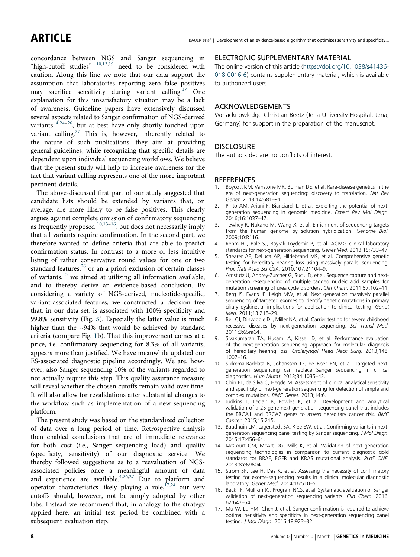<span id="page-7-0"></span>concordance between NGS and Sanger sequencing in "high-cutoff studies" <sup>10,13[,19](#page-8-0)</sup> need to be considered with caution. Along this line we note that our data support the assumption that laboratories reporting zero false positives may sacrifice sensitivity during variant calling.<sup>17</sup> One explanation for this unsatisfactory situation may be a lack of awareness. Guideline papers have extensively discussed several aspects related to Sanger confirmation of NGS-derived variants  $4,24-26$  $4,24-26$  $4,24-26$ , but at best have only shortly touched upon variant calling.<sup>[27](#page-8-0)</sup> This is, however, inherently related to the nature of such publications: they aim at providing general guidelines, while recognizing that specific details are dependent upon individual sequencing workflows. We believe that the present study will help to increase awareness for the fact that variant calling represents one of the more important pertinent details.

The above-discussed first part of our study suggested that candidate lists should be extended by variants that, on average, are more likely to be false positives. This clearly argues against complete omission of confirmatory sequencing as frequently proposed  $10,13-16$ , but does not necessarily imply that all variants require confirmation. In the second part, we therefore wanted to define criteria that are able to predict confirmation status. In contrast to a more or less intuitive listing of rather conservative round values for one or two standard features,<sup>[26](#page-8-0)</sup> or an a priori exclusion of certain classes of variants,<sup>15</sup> we aimed at utilizing all information available, and to thereby derive an evidence-based conclusion. By considering a variety of NGS-derived, nucleotide-specific, variant-associated features, we constructed a decision tree that, in our data set, is associated with 100% specificity and 99.8% sensitivity (Fig. [5](#page-6-0)). Especially the latter value is much higher than the ~94% that would be achieved by standard criteria (compare Fig. [1](#page-2-0)b). That this improvement comes at a price, i.e. confirmatory sequencing for 8.3% of all variants, appears more than justified. We have meanwhile updated our ES-associated diagnostic pipeline accordingly. We are, however, also Sanger sequencing 10% of the variants regarded to not actually require this step. This quality assurance measure will reveal whether the chosen cutoffs remain valid over time. It will also allow for revalidations after substantial changes to the workflow such as implementation of a new sequencing platform.

The present study was based on the standardized collection of data over a long period of time. Retrospective analysis then enabled conclusions that are of immediate relevance for both cost (i.e., Sanger sequencing load) and quality (specificity, sensitivity) of our diagnostic service. We thereby followed suggestions as to a reevaluation of NGSassociated policies once a meaningful amount of data and experience are available. $4,26,27$  $4,26,27$  Due to platform and operator characteristics likely playing a role,  ${}^{17,24}$  ${}^{17,24}$  ${}^{17,24}$  our very cutoffs should, however, not be simply adopted by other labs. Instead we recommend that, in analogy to the strategy applied here, an initial test period be combined with a subsequent evaluation step.

### ELECTRONIC SUPPLEMENTARY MATERIAL

The online version of this article [\(https://doi.org/10.1038/s41436-](https://doi.org/10.1038/s41436-018-0016-6) [018-0016-6\)](https://doi.org/10.1038/s41436-018-0016-6) contains supplementary material, which is available to authorized users.

#### ACKNOWLEDGEMENTS

We acknowledge Christian Beetz (Jena University Hospital, Jena, Germany) for support in the preparation of the manuscript.

#### **DISCLOSURE**

The authors declare no conflicts of interest.

#### **REFERENCES**

- 1. Boycott KM, Vanstone MR, Bulman DE, et al. Rare-disease genetics in the era of next-generation sequencing: discovery to translation. Nat Rev Genet. 2013;14:681–91.
- 2. Pinto AM, Ariani F, Bianciardi L, et al. Exploiting the potential of nextgeneration sequencing in genomic medicine. Expert Rev Mol Diagn. 2016;16:1037–47.
- 3. Tewhey R, Nakano M, Wang X, et al. Enrichment of sequencing targets from the human genome by solution hybridization. Genome Biol. 2009;10:R116.
- 4. Rehm HL, Bale SJ, Bayrak-Toydemir P, et al. ACMG clinical laboratory standards for next-generation sequencing. Genet Med. 2013;15:733–47.
- 5. Shearer AE, DeLuca AP, Hildebrand MS, et al. Comprehensive genetic testing for hereditary hearing loss using massively parallel sequencing. Proc Natl Acad Sci USA. 2010;107:21104–9.
- 6. Amstutz U, Andrey-Zurcher G, Suciu D, et al. Sequence capture and nextgeneration resequencing of multiple tagged nucleic acid samples for mutation screening of urea cycle disorders. Clin Chem. 2011;57:102–11.
- 7. Berg JS, Evans JP, Leigh MW, et al. Next generation massively parallel sequencing of targeted exomes to identify genetic mutations in primary ciliary dyskinesia: implications for application to clinical testing. Genet Med. 2011;13:218–29.
- 8. Bell CJ, Dinwiddie DL, Miller NA, et al. Carrier testing for severe childhood recessive diseases by next-generation sequencing. Sci Transl Med. 2011;3:65ra64.
- 9. Sivakumaran TA, Husami A, Kissell D, et al. Performance evaluation of the next-generation sequencing approach for molecular diagnosis of hereditary hearing loss. Otolaryngol Head Neck Surg. 2013;148: 1007–16.
- 10. Sikkema-Raddatz B, Johansson LF, de Boer EN, et al. Targeted nextgeneration sequencing can replace Sanger sequencing in clinical diagnostics. Hum Mutat. 2013;34:1035–42.
- 11. Chin EL, da Silva C, Hegde M. Assessment of clinical analytical sensitivity and specificity of next-generation sequencing for detection of simple and complex mutations. BMC Genet. 2013;14:6.
- 12. Judkins T, Leclair B, Bowles K, et al. Development and analytical validation of a 25-gene next generation sequencing panel that includes the BRCA1 and BRCA2 genes to assess hereditary cancer risk. BMC Cancer. 2015;15:215.
- 13. Baudhuin LM, Lagerstedt SA, Klee EW, et al. Confirming variants in nextgeneration sequencing panel testing by Sanger sequencing. J Mol Diagn. 2015;17:456–61.
- 14. McCourt CM, McArt DG, Mills K, et al. Validation of next generation sequencing technologies in comparison to current diagnostic gold standards for BRAF, EGFR and KRAS mutational analysis. PLoS ONE. 2013;8:e69604.
- 15. Strom SP, Lee H, Das K, et al. Assessing the necessity of confirmatory testing for exome-sequencing results in a clinical molecular diagnostic laboratory. Genet Med. 2014;16:510–5.
- 16. Beck TF, Mullikin JC, Program NCS, et al. Systematic evaluation of Sanger validation of next-generation sequencing variants. Clin Chem. 2016; 62:647–54.
- 17. Mu W, Lu HM, Chen J, et al. Sanger confirmation is required to achieve optimal sensitivity and specificity in next-generation sequencing panel testing. J Mol Diagn. 2016;18:923–32.